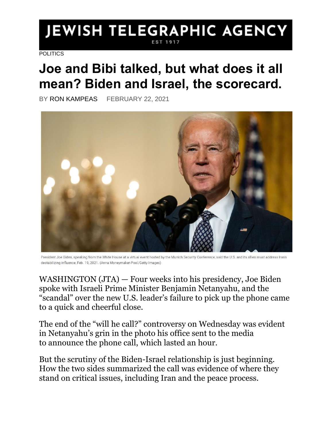# JEWISH TELEGRAPHIC AGENCY

[POLITICS](https://www.jta.org/category/politics)

# **Joe and Bibi talked, but what does it all mean? Biden and Israel, the scorecard.**

BY [RON KAMPEAS](https://www.jta.org/author/ron-kampeas) FEBRUARY 22, 2021



President Joe Biden, speaking from the White House at a virtual event hosted by the Munich Security Conference, said the U.S. and its allies must address Iran's destabilizing influence, Feb. 19, 2021. (Anna Moneymaker-Pool/Getty Images)

WASHINGTON [\(JTA\)](http://jta.org/) — Four weeks into his presidency, Joe Biden spoke with Israeli Prime Minister Benjamin Netanyahu, and the "scandal" over the new U.S. leader's failure to pick up the phone came to a quick and cheerful close.

The end of the "will he call?" controversy on Wednesday was evident in Netanyahu's grin in the photo his office sent to the media to [announce the phone call, which lasted an hour.](https://www.jta.org/quick-reads/biden-and-netanyahu-in-first-phone-call-since-us-leaders-inauguration-speak-for-an-hour)

But the scrutiny of the Biden-Israel relationship is just beginning. How the two sides summarized the call was evidence of where they stand on critical issues, including Iran and the peace process.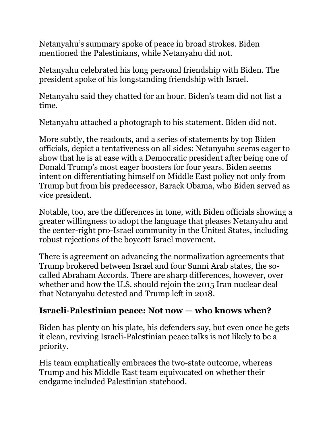Netanyahu's summary spoke of peace in broad strokes. Biden mentioned the Palestinians, while Netanyahu did not.

Netanyahu celebrated his long personal friendship with Biden. The president spoke of his longstanding friendship with Israel.

Netanyahu said they chatted for an hour. Biden's team did not list a time.

Netanyahu attached a photograph to his statement. Biden did not.

More subtly, the readouts, and a series of statements by top Biden officials, depict a tentativeness on all sides: Netanyahu seems eager to show that he is at ease with a Democratic president after being one of Donald Trump's most eager boosters for four years. Biden seems intent on differentiating himself on Middle East policy not only from Trump but from his predecessor, Barack Obama, who Biden served as vice president.

Notable, too, are the differences in tone, with Biden officials showing a greater willingness to adopt the language that pleases Netanyahu and the center-right pro-Israel community in the United States, including robust rejections of the boycott Israel movement.

There is agreement on advancing the normalization agreements that Trump brokered between Israel and four Sunni Arab states, the socalled Abraham Accords. There are sharp differences, however, over whether and how the U.S. should rejoin the 2015 Iran nuclear deal that Netanyahu detested and Trump left in 2018.

#### **Israeli-Palestinian peace: Not now — who knows when?**

Biden has plenty on his plate, his defenders say, but even once he gets it clean, reviving Israeli-Palestinian peace talks is not likely to be a priority.

His team emphatically embraces the two-state outcome, whereas Trump and his Middle East team equivocated on whether their endgame included Palestinian statehood.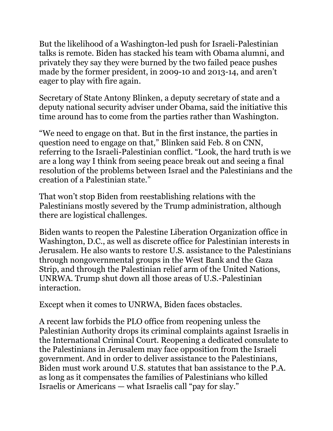But the likelihood of a Washington-led push for Israeli-Palestinian talks is remote. Biden has stacked his team with Obama alumni, and privately they say they were burned by the two failed peace pushes made by the former president, in 2009-10 and 2013-14, and aren't eager to play with fire again.

Secretary of State Antony Blinken, a deputy secretary of state and a deputy national security adviser under Obama, said the initiative this time around has to come from the parties rather than Washington.

"We need to engage on that. But in the first instance, the parties in question need to engage on that," Blinken said Feb. 8 on CNN, referring to the Israeli-Palestinian conflict. "Look, the hard truth is we are a long way I think from seeing peace break out and seeing a final resolution of the problems between Israel and the Palestinians and the creation of a Palestinian state."

That won't stop Biden from reestablishing relations with the Palestinians mostly severed by the Trump administration, although there are logistical challenges.

Biden wants to reopen the Palestine Liberation Organization office in Washington, D.C., as well as discrete office for Palestinian interests in Jerusalem. He also wants to restore U.S. assistance to the Palestinians through nongovernmental groups in the West Bank and the Gaza Strip, and through the Palestinian relief arm of the United Nations, UNRWA. Trump shut down all those areas of U.S.-Palestinian interaction.

Except when it comes to UNRWA, Biden faces obstacles.

A recent law forbids the PLO office from reopening unless the Palestinian Authority drops its criminal complaints against Israelis in the International Criminal Court. Reopening a dedicated consulate to the Palestinians in Jerusalem may face opposition from the Israeli government. And in order to deliver assistance to the Palestinians, Biden must work around U.S. statutes that ban assistance to the P.A. as long as it compensates the families of Palestinians who killed Israelis or Americans — what Israelis call "pay for slay."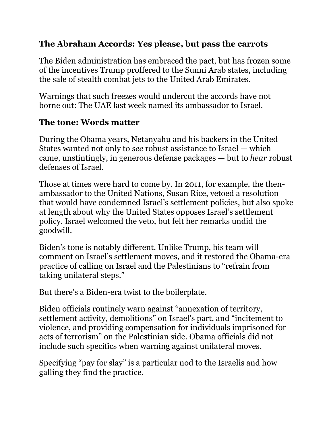#### **The Abraham Accords: Yes please, but pass the carrots**

The Biden administration has embraced the pact, but has frozen some of the incentives Trump proffered to the Sunni Arab states, [including](https://www.jta.org/quick-reads/biden-freezes-sale-of-stealth-jets-to-uae-according-to-report)  [the sale of stealth combat jets to the United Arab Emirates.](https://www.jta.org/quick-reads/biden-freezes-sale-of-stealth-jets-to-uae-according-to-report)

Warnings that such freezes would undercut the accords have not borne out: The UAE last week named its [ambassador to Israel.](https://www.jpost.com/opinion/welcome-to-uaes-ambassador-to-israel-659459)

#### **The tone: Words matter**

During the Obama years, Netanyahu and his backers in the United States wanted not only to *see* robust assistance to Israel — which came, unstintingly, in generous defense packages — but to *hear* robust defenses of Israel.

Those at times were hard to come by. In 2011, for example, the thenambassador to the United Nations, Susan Rice, vetoed a resolution that would have condemned Israel's settlement policies, but also spoke at length about why the United States opposes Israel's settlement policy. Israel welcomed the veto, but felt her [remarks](https://www.jta.org/2011/02/23/politics/pressing-israel-in-u-n-remains-a-u-s-taboo-veto-on-settlements-resolution-shows) undid the goodwill.

Biden's tone is notably different. Unlike Trump, his team will comment on Israel's settlement moves, and it restored the Obama-era practice of calling on Israel and the Palestinians to "refrain from taking unilateral steps."

But there's a Biden-era twist to the boilerplate.

Biden officials routinely warn against "annexation of territory, settlement activity, demolitions" on Israel's part, and "incitement to violence, and providing compensation for individuals imprisoned for acts of terrorism" on the Palestinian side. Obama officials did not include such specifics when warning against unilateral moves.

Specifying "pay for slay" is a particular nod to the Israelis and how galling they find the practice.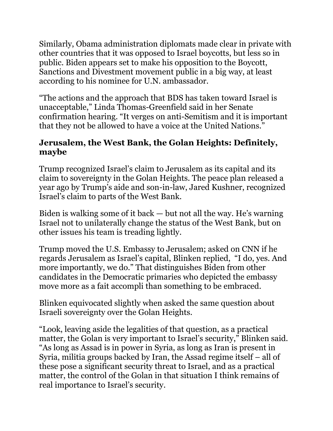Similarly, Obama administration diplomats made clear in private with other countries that it was opposed to Israel boycotts, but less so in public. Biden appears set to make his opposition to the Boycott, Sanctions and Divestment movement public in a big way, at least according to his nominee for U.N. ambassador.

"The actions and the approach that BDS has taken toward Israel is unacceptable," Linda Thomas-Greenfield said in her Senate confirmation hearing. "It verges on anti-Semitism and it is important that they not be allowed to have a voice at the United Nations."

#### **Jerusalem, the West Bank, the Golan Heights: Definitely, maybe**

Trump recognized Israel's claim to Jerusalem as its capital and its claim to sovereignty in the Golan Heights. The peace plan released a year ago by Trump's aide and son-in-law, Jared Kushner, recognized Israel's claim to parts of the West Bank.

Biden is walking some of it back — but not all the way. He's warning Israel not to unilaterally change the status of the West Bank, but on other issues his team is treading lightly.

Trump moved the U.S. Embassy to Jerusalem; asked on CNN if he regards Jerusalem as Israel's capital, Blinken replied, "I do, yes. And more importantly, we do." That distinguishes Biden from other candidates in the Democratic primaries who depicted the embassy move more as a fait accompli than something to be embraced.

Blinken equivocated slightly when asked the same question about Israeli sovereignty over the Golan Heights.

"Look, leaving aside the legalities of that question, as a practical matter, the Golan is very important to Israel's security," Blinken said. "As long as Assad is in power in Syria, as long as Iran is present in Syria, militia groups backed by Iran, the Assad regime itself – all of these pose a significant security threat to Israel, and as a practical matter, the control of the Golan in that situation I think remains of real importance to Israel's security.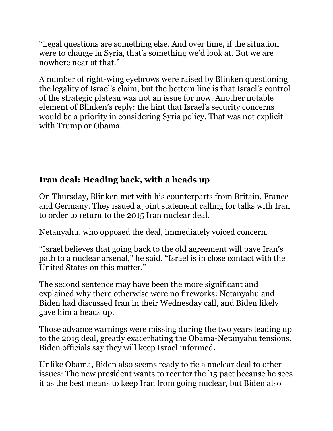"Legal questions are something else. And over time, if the situation were to change in Syria, that's something we'd look at. But we are nowhere near at that."

A number of right-wing eyebrows were raised by Blinken questioning the legality of Israel's claim, but the bottom line is that Israel's control of the strategic plateau was not an issue for now. Another notable element of Blinken's reply: the hint that Israel's security concerns would be a priority in considering Syria policy. That was not explicit with Trump or Obama.

## **Iran deal: Heading back, with a heads up**

On Thursday, Blinken met with his counterparts from Britain, France and Germany. They issued a joint statement [calling for talks with Iran](https://www.jta.org/quick-reads/biden-administration-is-ready-to-talk-with-iran-about-a-return-to-the-nuclear-deal)  [to order to return](https://www.jta.org/quick-reads/biden-administration-is-ready-to-talk-with-iran-about-a-return-to-the-nuclear-deal) to the 2015 Iran nuclear deal.

Netanyahu, who opposed the deal, immediately voiced concern.

"Israel believes that going back to the old agreement will pave Iran's path to a nuclear arsenal," he said. "Israel is in close contact with the United States on this matter."

The second sentence may have been the more significant and explained why there otherwise were no fireworks: Netanyahu and Biden had discussed Iran in their Wednesday call, and Biden likely gave him a heads up.

Those advance warnings were missing during the two years leading up to the 2015 deal, greatly exacerbating the Obama-Netanyahu tensions. Biden officials say they will keep Israel informed.

Unlike Obama, Biden also seems ready to tie a nuclear deal to other issues: The new president wants to reenter the '15 pact because he sees it as the best means to keep Iran from going nuclear, but Biden also